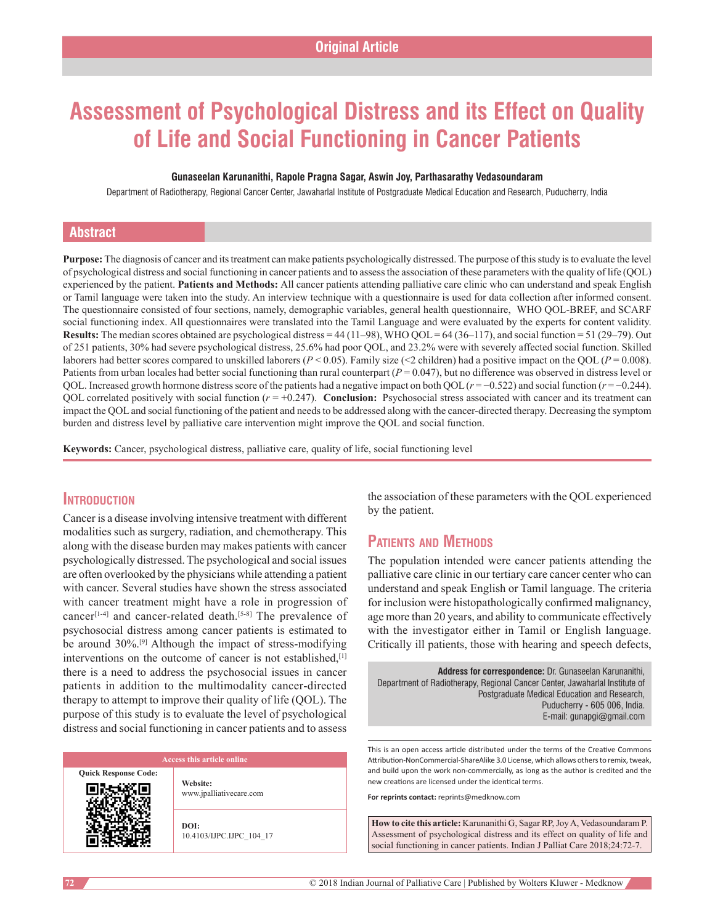# **Assessment of Psychological Distress and its Effect on Quality of Life and Social Functioning in Cancer Patients**

#### **Gunaseelan Karunanithi, Rapole Pragna Sagar, Aswin Joy, Parthasarathy Vedasoundaram**

Department of Radiotherapy, Regional Cancer Center, Jawaharlal Institute of Postgraduate Medical Education and Research, Puducherry, India

### **Abstract**

**Purpose:** The diagnosis of cancer and its treatment can make patients psychologically distressed. The purpose of this study is to evaluate the level of psychological distress and social functioning in cancer patients and to assess the association of these parameters with the quality of life (QOL) experienced by the patient. **Patients and Methods:** All cancer patients attending palliative care clinic who can understand and speak English or Tamil language were taken into the study. An interview technique with a questionnaire is used for data collection after informed consent. The questionnaire consisted of four sections, namely, demographic variables, general health questionnaire,   WHO QOL‑BREF, and SCARF social functioning index. All questionnaires were translated into the Tamil Language and were evaluated by the experts for content validity. **Results:** The median scores obtained are psychological distress = 44 (11–98), WHO QOL= 64 (36–117), and social function = 51 (29–79). Out of 251 patients, 30% had severe psychological distress, 25.6% had poor QOL, and 23.2% were with severely affected social function. Skilled laborers had better scores compared to unskilled laborers ( $P < 0.05$ ). Family size (<2 children) had a positive impact on the QOL ( $P = 0.008$ ). Patients from urban locales had better social functioning than rural counterpart (*P* = 0.047), but no difference was observed in distress level or QOL. Increased growth hormone distress score of the patients had a negative impact on both QOL(*r* = −0.522) and social function (*r* = −0.244). QOL correlated positively with social function  $(r = +0.247)$ . **Conclusion:** Psychosocial stress associated with cancer and its treatment can impact the QOL and social functioning of the patient and needs to be addressed along with the cancer-directed therapy. Decreasing the symptom burden and distress level by palliative care intervention might improve the QOL and social function.

**Keywords:** Cancer, psychological distress, palliative care, quality of life, social functioning level

### **Introduction**

Cancer is a disease involving intensive treatment with different modalities such as surgery, radiation, and chemotherapy. This along with the disease burden may makes patients with cancer psychologically distressed. The psychological and social issues are often overlooked by the physicians while attending a patient with cancer. Several studies have shown the stress associated with cancer treatment might have a role in progression of cancer<sup>[1-4]</sup> and cancer-related death.<sup>[5-8]</sup> The prevalence of psychosocial distress among cancer patients is estimated to be around  $30\%$ <sup>[9]</sup> Although the impact of stress-modifying interventions on the outcome of cancer is not established,<sup>[1]</sup> there is a need to address the psychosocial issues in cancer patients in addition to the multimodality cancer-directed therapy to attempt to improve their quality of life (QOL). The purpose of this study is to evaluate the level of psychological distress and social functioning in cancer patients and to assess

**Quick Response Code:**

**Website:** www.jpalliativecare.com

**DOI:** 10.4103/IJPC.IJPC\_104\_17 the association of these parameters with the QOL experienced by the patient.

## **Patients and Methods**

The population intended were cancer patients attending the palliative care clinic in our tertiary care cancer center who can understand and speak English or Tamil language. The criteria for inclusion were histopathologically confirmed malignancy, age more than 20 years, and ability to communicate effectively with the investigator either in Tamil or English language. Critically ill patients, those with hearing and speech defects,

**Address for correspondence:** Dr. Gunaseelan Karunanithi, Department of Radiotherapy, Regional Cancer Center, Jawaharlal Institute of Postgraduate Medical Education and Research, Puducherry ‑ 605 006, India. E‑mail: gunapgi@gmail.com

This is an open access article distributed under the terms of the Creative Commons Attribution-NonCommercial-ShareAlike 3.0 License, which allows others to remix, tweak, and build upon the work non‑commercially, as long as the author is credited and the new creations are licensed under the identical terms.

**For reprints contact:** reprints@medknow.com

**How to cite this article:** Karunanithi G, Sagar RP, Joy A, Vedasoundaram P. Assessment of psychological distress and its effect on quality of life and social functioning in cancer patients. Indian J Palliat Care 2018;24:72-7.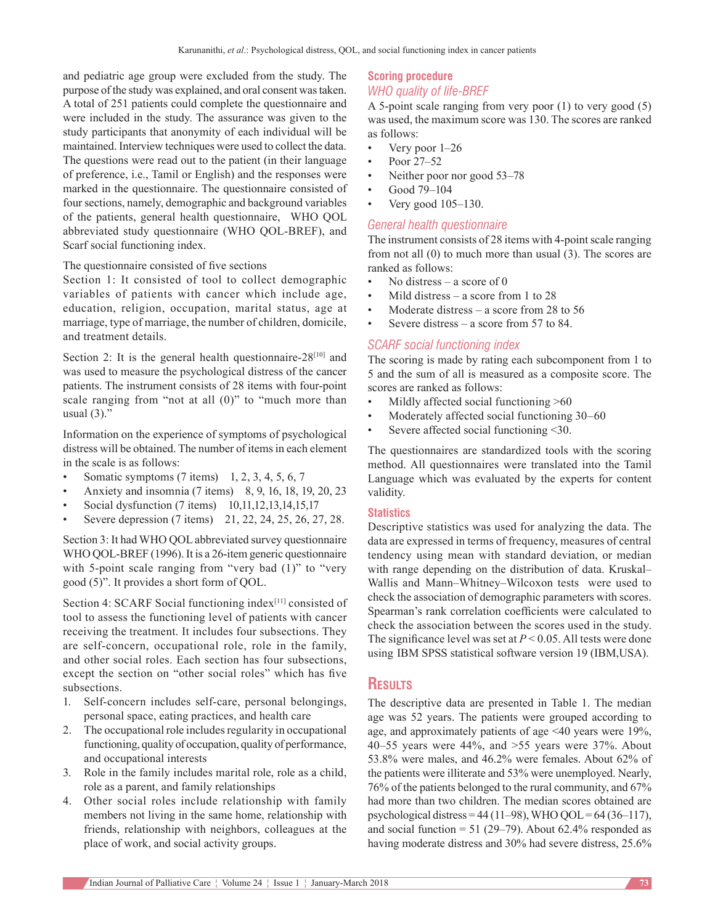and pediatric age group were excluded from the study. The purpose of the study was explained, and oral consent was taken. A total of 251 patients could complete the questionnaire and were included in the study. The assurance was given to the study participants that anonymity of each individual will be maintained. Interview techniques were used to collect the data. The questions were read out to the patient (in their language of preference, i.e., Tamil or English) and the responses were marked in the questionnaire. The questionnaire consisted of four sections, namely, demographic and background variables of the patients, general health questionnaire,   WHO QOL abbreviated study questionnaire (WHO QOL‑BREF), and Scarf social functioning index.

#### The questionnaire consisted of five sections

Section 1: It consisted of tool to collect demographic variables of patients with cancer which include age, education, religion, occupation, marital status, age at marriage, type of marriage, the number of children, domicile, and treatment details.

Section 2: It is the general health questionnaire- $28^{[10]}$  and was used to measure the psychological distress of the cancer patients. The instrument consists of 28 items with four-point scale ranging from "not at all (0)" to "much more than usual  $(3)$ ."

Information on the experience of symptoms of psychological distress will be obtained. The number of items in each element in the scale is as follows:

- Somatic symptoms  $(7 \text{ items})$  1, 2, 3, 4, 5, 6, 7
- Anxiety and insomnia (7 items) 8, 9, 16, 18, 19, 20, 23
- Social dysfunction (7 items) 10,11,12,13,14,15,17
- Severe depression (7 items) 21, 22, 24, 25, 26, 27, 28.

Section 3: It had WHO QOL abbreviated survey questionnaire WHO QOL-BREF (1996). It is a 26-item generic questionnaire with 5-point scale ranging from "very bad (1)" to "very good (5)". It provides a short form of QOL.

Section 4: SCARF Social functioning index<sup>[11]</sup> consisted of tool to assess the functioning level of patients with cancer receiving the treatment. It includes four subsections. They are self-concern, occupational role, role in the family, and other social roles. Each section has four subsections, except the section on "other social roles" which has five subsections.

- 1. Self-concern includes self-care, personal belongings, personal space, eating practices, and health care
- 2. The occupational role includes regularity in occupational functioning, quality of occupation, quality of performance, and occupational interests
- 3. Role in the family includes marital role, role as a child, role as a parent, and family relationships
- 4. Other social roles include relationship with family members not living in the same home, relationship with friends, relationship with neighbors, colleagues at the place of work, and social activity groups.

#### **Scoring procedure** *WHO quality of life‑BREF*

A 5‑point scale ranging from very poor (1) to very good (5) was used, the maximum score was 130. The scores are ranked as follows:

- Very poor 1–26
- Poor 27-52
- Neither poor nor good 53–78
- Good 79–104
- Very good 105–130.

#### *General health questionnaire*

The instrument consists of 28 items with 4-point scale ranging from not all (0) to much more than usual (3). The scores are ranked as follows:

- No distress a score of  $0$
- Mild distress a score from 1 to  $28$
- Moderate distress  $-$  a score from 28 to 56
- Severe distress a score from 57 to 84.

#### *SCARF social functioning index*

The scoring is made by rating each subcomponent from 1 to 5 and the sum of all is measured as a composite score. The scores are ranked as follows:

- Mildly affected social functioning >60
- Moderately affected social functioning 30–60
- Severe affected social functioning <30.

The questionnaires are standardized tools with the scoring method. All questionnaires were translated into the Tamil Language which was evaluated by the experts for content validity.

#### **Statistics**

Descriptive statistics was used for analyzing the data. The data are expressed in terms of frequency, measures of central tendency using mean with standard deviation, or median with range depending on the distribution of data. Kruskal– Wallis and  Mann–Whitney–Wilcoxon tests were used to check the association of demographic parameters with scores. Spearman's rank correlation coefficients were calculated to check the association between the scores used in the study. The significance level was set at *P* < 0.05. All tests were done using  IBM SPSS statistical software version 19 (IBM,USA).

### **Results**

The descriptive data are presented in Table 1. The median age was 52 years. The patients were grouped according to age, and approximately patients of age <40 years were 19%, 40–55 years were 44%, and >55 years were 37%. About 53.8% were males, and 46.2% were females. About 62% of the patients were illiterate and 53% were unemployed. Nearly, 76% of the patients belonged to the rural community, and 67% had more than two children. The median scores obtained are psychological distress =  $44 (11–98)$ , WHO QOL =  $64 (36–117)$ , and social function =  $51$  (29–79). About 62.4% responded as having moderate distress and 30% had severe distress, 25.6%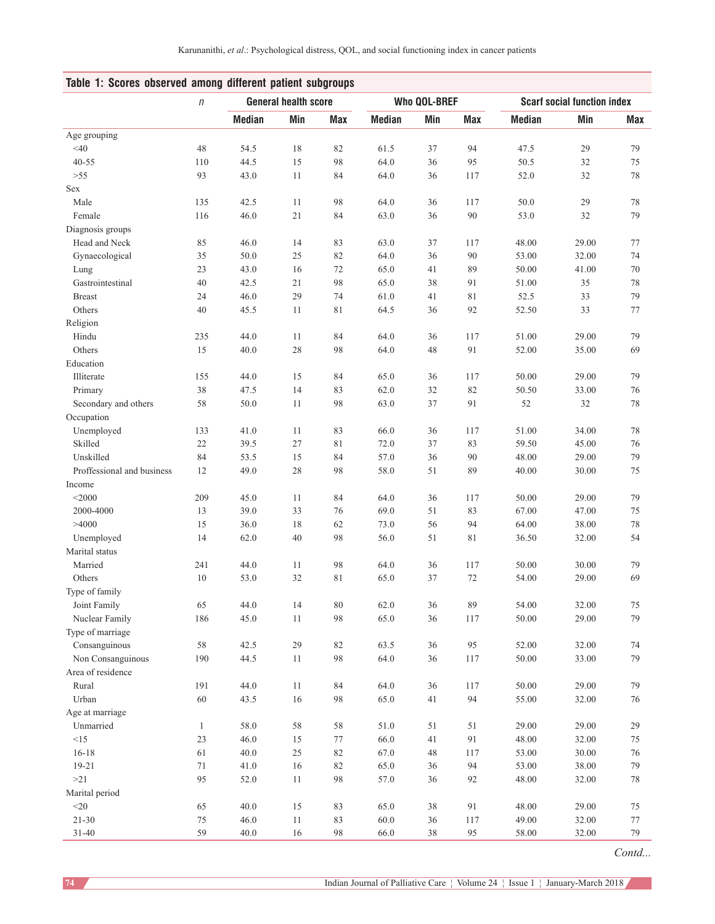| Table 1: Scores observed among different patient subgroups |              |                             |        |             |                     |     |             |                                    |       |     |
|------------------------------------------------------------|--------------|-----------------------------|--------|-------------|---------------------|-----|-------------|------------------------------------|-------|-----|
|                                                            | $\eta$       | <b>General health score</b> |        |             | <b>Who QOL-BREF</b> |     |             | <b>Scarf social function index</b> |       |     |
|                                                            |              | <b>Median</b>               | Min    | Max         | <b>Median</b>       | Min | <b>Max</b>  | <b>Median</b>                      | Min   | Max |
| Age grouping                                               |              |                             |        |             |                     |     |             |                                    |       |     |
| $<$ 40                                                     | 48           | 54.5                        | 18     | 82          | 61.5                | 37  | 94          | 47.5                               | 29    | 79  |
| $40 - 55$                                                  | 110          | 44.5                        | 15     | 98          | 64.0                | 36  | 95          | 50.5                               | 32    | 75  |
| $>55$                                                      | 93           | 43.0                        | 11     | 84          | 64.0                | 36  | 117         | 52.0                               | 32    | 78  |
| Sex                                                        |              |                             |        |             |                     |     |             |                                    |       |     |
| Male                                                       | 135          | 42.5                        | 11     | 98          | 64.0                | 36  | 117         | 50.0                               | 29    | 78  |
| Female                                                     | 116          | 46.0                        | $21\,$ | 84          | 63.0                | 36  | $90\,$      | 53.0                               | 32    | 79  |
| Diagnosis groups                                           |              |                             |        |             |                     |     |             |                                    |       |     |
| Head and Neck                                              | 85           | 46.0                        | 14     | 83          | 63.0                | 37  | 117         | 48.00                              | 29.00 | 77  |
| Gynaecological                                             | 35           | 50.0                        | 25     | 82          | 64.0                | 36  | 90          | 53.00                              | 32.00 | 74  |
| Lung                                                       | 23           | 43.0                        | 16     | 72          | 65.0                | 41  | 89          | 50.00                              | 41.00 | 70  |
| Gastrointestinal                                           | 40           | 42.5                        | 21     | 98          | 65.0                | 38  | 91          | 51.00                              | 35    | 78  |
| <b>Breast</b>                                              | 24           | 46.0                        | 29     | 74          | 61.0                | 41  | 81          | 52.5                               | 33    | 79  |
| Others                                                     | 40           | 45.5                        | 11     | 81          | 64.5                | 36  | 92          | 52.50                              | 33    | 77  |
| Religion                                                   |              |                             |        |             |                     |     |             |                                    |       |     |
| Hindu                                                      | 235          | 44.0                        | 11     | 84          | 64.0                | 36  | 117         | 51.00                              | 29.00 | 79  |
| Others                                                     | 15           | 40.0                        | $28\,$ | 98          | 64.0                | 48  | 91          | 52.00                              | 35.00 | 69  |
| Education                                                  |              |                             |        |             |                     |     |             |                                    |       |     |
| Illiterate                                                 | 155          | 44.0                        | 15     | 84          | 65.0                | 36  | 117         | 50.00                              | 29.00 | 79  |
| Primary                                                    | 38           | 47.5                        | 14     | 83          | 62.0                | 32  | 82          | 50.50                              | 33.00 | 76  |
| Secondary and others                                       | 58           | 50.0                        | 11     | 98          | 63.0                | 37  | 91          | 52                                 | 32    | 78  |
| Occupation                                                 |              |                             |        |             |                     |     |             |                                    |       |     |
| Unemployed                                                 | 133          | 41.0                        | 11     | 83          | 66.0                | 36  | 117         | 51.00                              | 34.00 | 78  |
| Skilled                                                    | 22           | 39.5                        | $27\,$ | $8\sqrt{1}$ | 72.0                | 37  | 83          | 59.50                              | 45.00 | 76  |
| Unskilled                                                  | 84           | 53.5                        | 15     | 84          | 57.0                | 36  | 90          | 48.00                              | 29.00 | 79  |
| Proffessional and business                                 | 12           | 49.0                        | 28     | 98          | 58.0                | 51  | 89          | 40.00                              | 30.00 | 75  |
| Income                                                     |              |                             |        |             |                     |     |             |                                    |       |     |
| $<$ 2000                                                   | 209          | 45.0                        | 11     | 84          | 64.0                | 36  | 117         | 50.00                              | 29.00 | 79  |
| 2000-4000                                                  | 13           | 39.0                        | 33     | 76          | 69.0                | 51  | 83          | 67.00                              | 47.00 | 75  |
| >4000                                                      | 15           | 36.0                        | 18     | 62          | 73.0                | 56  | 94          | 64.00                              | 38.00 | 78  |
| Unemployed                                                 | 14           | 62.0                        | 40     | 98          | 56.0                | 51  | $8\sqrt{1}$ | 36.50                              | 32.00 | 54  |
| Marital status                                             |              |                             |        |             |                     |     |             |                                    |       |     |
| Married                                                    | 241          | 44.0                        | 11     | 98          | 64.0                | 36  | 117         | 50.00                              | 30.00 | 79  |
| Others                                                     | 10           | 53.0                        | 32     | 81          | 65.0                | 37  | 72          | 54.00                              | 29.00 | 69  |
| Type of family                                             |              |                             |        |             |                     |     |             |                                    |       |     |
| Joint Family                                               | 65           | 44.0                        | 14     | $80\,$      | 62.0                | 36  | 89          | 54.00                              | 32.00 | 75  |
| Nuclear Family                                             | 186          | 45.0                        | 11     | 98          | 65.0                | 36  | 117         | 50.00                              | 29.00 | 79  |
| Type of marriage                                           |              |                             |        |             |                     |     |             |                                    |       |     |
| Consanguinous                                              | 58           | 42.5                        | $29\,$ | 82          | 63.5                | 36  | 95          | 52.00                              | 32.00 | 74  |
| Non Consanguinous                                          | 190          | 44.5                        | 11     | 98          | 64.0                | 36  | 117         | 50.00                              | 33.00 | 79  |
| Area of residence                                          |              |                             |        |             |                     |     |             |                                    |       |     |
| Rural                                                      | 191          | 44.0                        | 11     | 84          | 64.0                | 36  | 117         | 50.00                              | 29.00 | 79  |
| Urban                                                      | 60           | 43.5                        | $16\,$ | 98          | 65.0                | 41  | 94          | 55.00                              | 32.00 | 76  |
| Age at marriage                                            |              |                             |        |             |                     |     |             |                                    |       |     |
| Unmarried                                                  | $\mathbf{1}$ | 58.0                        | 58     | $58\,$      | 51.0                | 51  | 51          | 29.00                              | 29.00 | 29  |
| <15                                                        | 23           | 46.0                        | 15     | 77          | 66.0                | 41  | 91          | 48.00                              | 32.00 | 75  |
| $16 - 18$                                                  | 61           | 40.0                        | $25\,$ | $82\,$      | 67.0                | 48  | 117         | 53.00                              | 30.00 | 76  |
| $19 - 21$                                                  | $71\,$       | 41.0                        | 16     | $82\,$      | 65.0                | 36  | 94          | 53.00                              | 38.00 | 79  |
| >21                                                        | 95           | 52.0                        | 11     | 98          | 57.0                | 36  | 92          | 48.00                              | 32.00 | 78  |
| Marital period                                             |              |                             |        |             |                     |     |             |                                    |       |     |
| $<$ 20 $\,$                                                | 65           | 40.0                        | 15     | 83          | 65.0                | 38  | 91          | 48.00                              | 29.00 | 75  |
| $21 - 30$                                                  | $75\,$       | 46.0                        | 11     | 83          | 60.0                | 36  | 117         | 49.00                              | 32.00 | 77  |
| $31 - 40$                                                  | 59           | $40.0\,$                    | $16\,$ | $98\,$      | 66.0                | 38  | 95          | 58.00                              | 32.00 | 79  |

*Contd...*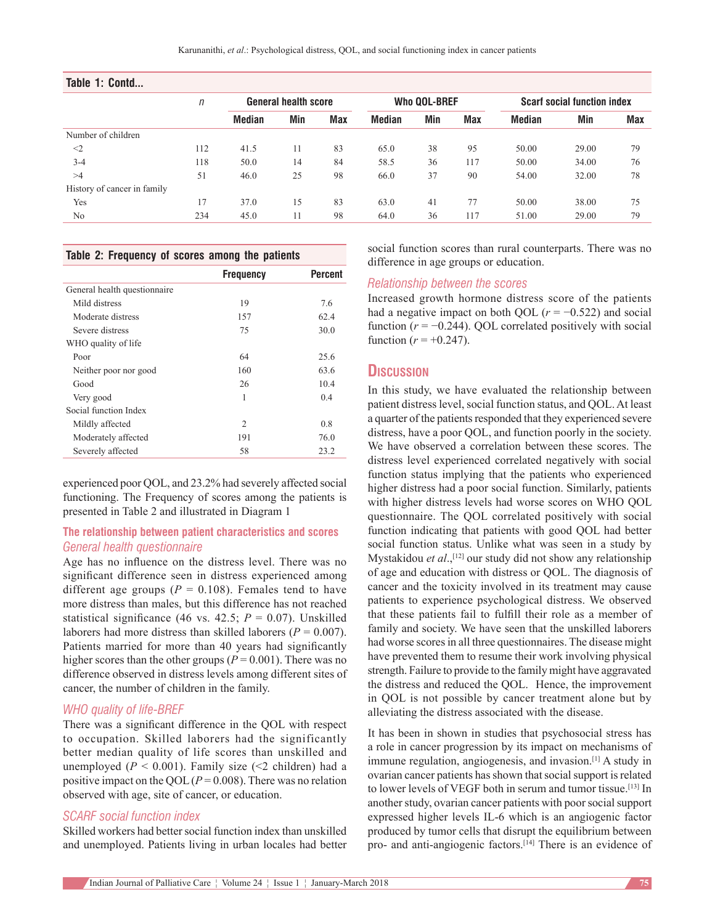| $\sqrt{n}$ | <b>General health score</b> |     |            | <b>Who QOL-BREF</b> |     |            | <b>Scarf social function index</b> |       |            |
|------------|-----------------------------|-----|------------|---------------------|-----|------------|------------------------------------|-------|------------|
|            | <b>Median</b>               | Min | <b>Max</b> | <b>Median</b>       | Min | <b>Max</b> | Median                             | Min   | <b>Max</b> |
|            |                             |     |            |                     |     |            |                                    |       |            |
| 112        | 41.5                        | 11  | 83         | 65.0                | 38  | 95         | 50.00                              | 29.00 | 79         |
| 118        | 50.0                        | 14  | 84         | 58.5                | 36  | 117        | 50.00                              | 34.00 | 76         |
| 51         | 46.0                        | 25  | 98         | 66.0                | 37  | 90         | 54.00                              | 32.00 | 78         |
|            |                             |     |            |                     |     |            |                                    |       |            |
| 17         | 37.0                        | 15  | 83         | 63.0                | 41  | 77         | 50.00                              | 38.00 | 75         |
| 234        | 45.0                        | 11  | 98         | 64.0                | 36  | 117        | 51.00                              | 29.00 | 79         |
|            |                             |     |            |                     |     |            |                                    |       |            |

#### **Table 2: Frequency of scores among the patients**

|                              | <b>Frequency</b> | <b>Percent</b> |
|------------------------------|------------------|----------------|
| General health questionnaire |                  |                |
| Mild distress                | 19               | 7.6            |
| Moderate distress            | 157              | 62.4           |
| Severe distress              | 75               | 30.0           |
| WHO quality of life          |                  |                |
| Poor                         | 64               | 25.6           |
| Neither poor nor good        | 160              | 63.6           |
| Good                         | 26               | 10.4           |
| Very good                    | 1                | 0.4            |
| Social function Index        |                  |                |
| Mildly affected              | $\overline{c}$   | 0.8            |
| Moderately affected          | 191              | 76.0           |
| Severely affected            | 58               | 23.2           |

experienced poor QOL, and 23.2% had severely affected social functioning. The Frequency of scores among the patients is presented in Table 2 and illustrated in Diagram 1

#### **The relationship between patient characteristics and scores** *General health questionnaire*

Age has no influence on the distress level. There was no significant difference seen in distress experienced among different age groups ( $P = 0.108$ ). Females tend to have more distress than males, but this difference has not reached statistical significance (46 vs. 42.5;  $P = 0.07$ ). Unskilled laborers had more distress than skilled laborers ( $P = 0.007$ ). Patients married for more than 40 years had significantly higher scores than the other groups ( $P = 0.001$ ). There was no difference observed in distress levels among different sites of cancer, the number of children in the family.

#### *WHO quality of life‑BREF*

There was a significant difference in the QOL with respect to occupation. Skilled laborers had the significantly better median quality of life scores than unskilled and unemployed ( $P < 0.001$ ). Family size (<2 children) had a positive impact on the QOL $(P=0.008)$ . There was no relation observed with age, site of cancer, or education.

#### *SCARF social function index*

Skilled workers had better social function index than unskilled and unemployed. Patients living in urban locales had better social function scores than rural counterparts. There was no difference in age groups or education.

#### *Relationship between the scores*

Increased growth hormone distress score of the patients had a negative impact on both QOL ( $r = -0.522$ ) and social function  $(r = -0.244)$ . QOL correlated positively with social function ( $r = +0.247$ ).

### **Discussion**

In this study, we have evaluated the relationship between patient distress level, social function status, and QOL. At least a quarter of the patients responded that they experienced severe distress, have a poor QOL, and function poorly in the society. We have observed a correlation between these scores. The distress level experienced correlated negatively with social function status implying that the patients who experienced higher distress had a poor social function. Similarly, patients with higher distress levels had worse scores on WHO QOL questionnaire. The QOL correlated positively with social function indicating that patients with good QOL had better social function status. Unlike what was seen in a study by Mystakidou *et al.*,<sup>[12]</sup> our study did not show any relationship of age and education with distress or QOL. The diagnosis of cancer and the toxicity involved in its treatment may cause patients to experience psychological distress. We observed that these patients fail to fulfill their role as a member of family and society. We have seen that the unskilled laborers had worse scores in all three questionnaires. The disease might have prevented them to resume their work involving physical strength. Failure to provide to the family might have aggravated the distress and reduced the QOL.   Hence, the improvement in QOL is not possible by cancer treatment alone but by alleviating the distress associated with the disease.

It has been in shown in studies that psychosocial stress has a role in cancer progression by its impact on mechanisms of immune regulation, angiogenesis, and invasion.<sup>[1]</sup> A study in ovarian cancer patients has shown that social support is related to lower levels of VEGF both in serum and tumor tissue.<sup>[13]</sup> In another study, ovarian cancer patients with poor social support expressed higher levels IL‑6 which is an angiogenic factor produced by tumor cells that disrupt the equilibrium between pro- and anti-angiogenic factors.<sup>[14]</sup> There is an evidence of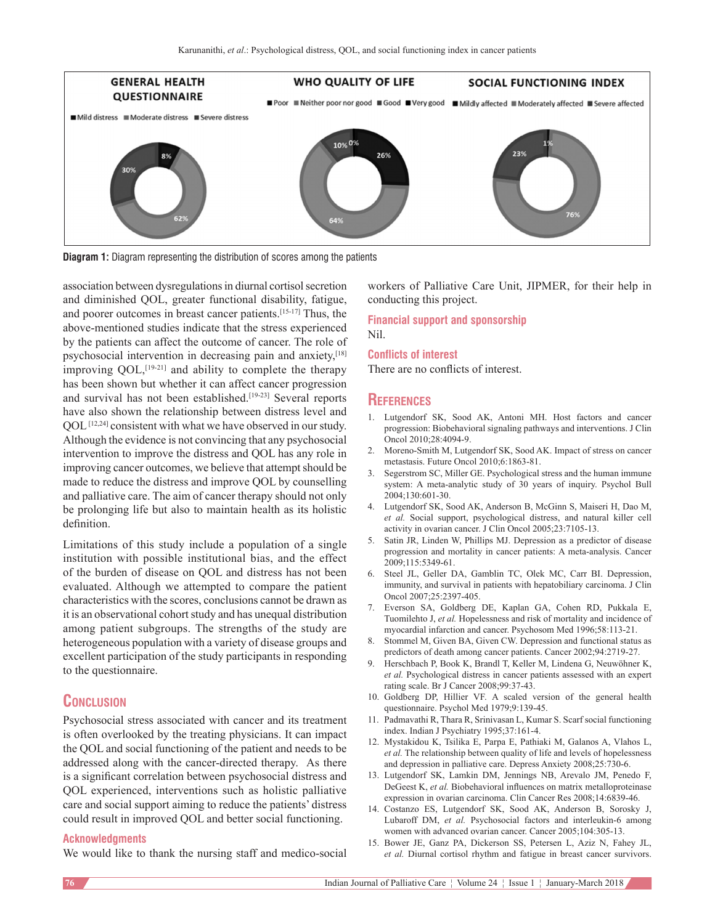

**Diagram 1:** Diagram representing the distribution of scores among the patients

association between dysregulations in diurnal cortisol secretion and diminished QOL, greater functional disability, fatigue, and poorer outcomes in breast cancer patients.[15‑17] Thus, the above‑mentioned studies indicate that the stress experienced by the patients can affect the outcome of cancer. The role of psychosocial intervention in decreasing pain and anxiety,[18] improving QOL,<sup>[19-21]</sup> and ability to complete the therapy has been shown but whether it can affect cancer progression and survival has not been established.<sup>[19-23]</sup> Several reports have also shown the relationship between distress level and QOL<sup>[12,24]</sup> consistent with what we have observed in our study. Although the evidence is not convincing that any psychosocial intervention to improve the distress and QOL has any role in improving cancer outcomes, we believe that attempt should be made to reduce the distress and improve QOL by counselling and palliative care. The aim of cancer therapy should not only be prolonging life but also to maintain health as its holistic definition.

Limitations of this study include a population of a single institution with possible institutional bias, and the effect of the burden of disease on QOL and distress has not been evaluated. Although we attempted to compare the patient characteristics with the scores, conclusions cannot be drawn as it is an observational cohort study and has unequal distribution among patient subgroups. The strengths of the study are heterogeneous population with a variety of disease groups and excellent participation of the study participants in responding to the questionnaire.

### **Conclusion**

Psychosocial stress associated with cancer and its treatment is often overlooked by the treating physicians. It can impact the QOL and social functioning of the patient and needs to be addressed along with the cancer-directed therapy. As there is a significant correlation between psychosocial distress and QOL experienced, interventions such as holistic palliative care and social support aiming to reduce the patients' distress could result in improved QOL and better social functioning.

#### **Acknowledgments**

We would like to thank the nursing staff and medico-social

workers of Palliative Care Unit, JIPMER, for their help in conducting this project.

**Financial support and sponsorship** Nil.

#### **Conflicts of interest**

There are no conflicts of interest.

#### **References**

- 1. Lutgendorf SK, Sood AK, Antoni MH. Host factors and cancer progression: Biobehavioral signaling pathways and interventions. J Clin Oncol 2010;28:4094‑9.
- 2. Moreno‑Smith M, Lutgendorf SK, Sood AK. Impact of stress on cancer metastasis. Future Oncol 2010;6:1863‑81.
- 3. Segerstrom SC, Miller GE. Psychological stress and the human immune system: A meta-analytic study of 30 years of inquiry. Psychol Bull 2004;130:601‑30.
- 4. Lutgendorf SK, Sood AK, Anderson B, McGinn S, Maiseri H, Dao M, *et al.* Social support, psychological distress, and natural killer cell activity in ovarian cancer. J Clin Oncol 2005;23:7105‑13.
- 5. Satin JR, Linden W, Phillips MJ. Depression as a predictor of disease progression and mortality in cancer patients: A meta‑analysis. Cancer 2009;115:5349‑61.
- 6. Steel JL, Geller DA, Gamblin TC, Olek MC, Carr BI. Depression, immunity, and survival in patients with hepatobiliary carcinoma. J Clin Oncol 2007;25:2397-405.
- 7. Everson SA, Goldberg DE, Kaplan GA, Cohen RD, Pukkala E, Tuomilehto J, *et al.* Hopelessness and risk of mortality and incidence of myocardial infarction and cancer. Psychosom Med 1996;58:113-21.
- 8. Stommel M, Given BA, Given CW. Depression and functional status as predictors of death among cancer patients. Cancer 2002;94:2719-27.
- 9. Herschbach P, Book K, Brandl T, Keller M, Lindena G, Neuwöhner K, *et al.* Psychological distress in cancer patients assessed with an expert rating scale. Br J Cancer 2008;99:37‑43.
- 10. Goldberg DP, Hillier VF. A scaled version of the general health questionnaire. Psychol Med 1979;9:139-45.
- 11. Padmavathi R, Thara R, Srinivasan L, Kumar S. Scarf social functioning index. Indian J Psychiatry 1995;37:161-4.
- 12. Mystakidou K, Tsilika E, Parpa E, Pathiaki M, Galanos A, Vlahos L, *et al.* The relationship between quality of life and levels of hopelessness and depression in palliative care. Depress Anxiety 2008;25:730-6.
- 13. Lutgendorf SK, Lamkin DM, Jennings NB, Arevalo JM, Penedo F, DeGeest K, *et al.* Biobehavioral influences on matrix metalloproteinase expression in ovarian carcinoma. Clin Cancer Res 2008;14:6839-46.
- 14. Costanzo ES, Lutgendorf SK, Sood AK, Anderson B, Sorosky J, Lubaroff DM, et al. Psychosocial factors and interleukin-6 among women with advanced ovarian cancer. Cancer 2005;104:305-13.
- 15. Bower JE, Ganz PA, Dickerson SS, Petersen L, Aziz N, Fahey JL, *et al.* Diurnal cortisol rhythm and fatigue in breast cancer survivors.